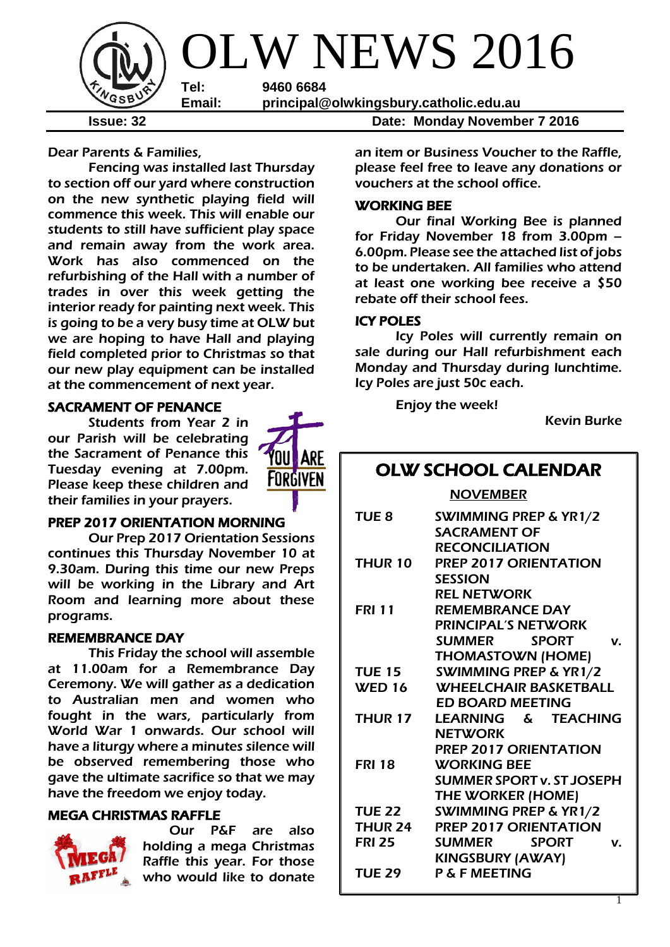

Dear Parents & Families,

Fencing was installed last Thursday to section off our yard where construction on the new synthetic playing field will commence this week. This will enable our students to still have sufficient play space and remain away from the work area. Work has also commenced on the refurbishing of the Hall with a number of trades in over this week getting the interior ready for painting next week. This is going to be a very busy time at OLW but we are hoping to have Hall and playing field completed prior to Christmas so that our new play equipment can be installed at the commencement of next year.

#### SACRAMENT OF PENANCE

Students from Year 2 in our Parish will be celebrating the Sacrament of Penance this Tuesday evening at 7.00pm. Please keep these children and their families in your prayers.



#### PREP 2017 ORIENTATION MORNING

Our Prep 2017 Orientation Sessions continues this Thursday November 10 at 9.30am. During this time our new Preps will be working in the Library and Art Room and learning more about these programs.

#### REMEMBRANCE DAY

This Friday the school will assemble at 11.00am for a Remembrance Day Ceremony. We will gather as a dedication to Australian men and women who fought in the wars, particularly from World War 1 onwards. Our school will have a liturgy where a minutes silence will be observed remembering those who gave the ultimate sacrifice so that we may have the freedom we enjoy today.

## MEGA CHRISTMAS RAFFLE



Our P&F are also holding a mega Christmas Raffle this year. For those who would like to donate

an item or Business Voucher to the Raffle, please feel free to leave any donations or vouchers at the school office.

### WORKING BEE

Our final Working Bee is planned for Friday November 18 from 3.00pm – 6.00pm. Please see the attached list of jobs to be undertaken. All families who attend at least one working bee receive a \$50 rebate off their school fees.

#### ICY POLES

Icy Poles will currently remain on sale during our Hall refurbishment each Monday and Thursday during lunchtime. Icy Poles are just 50c each.

Enjoy the week!

Kevin Burke

## OLW SCHOOL CALENDAR

NOVEMBER

| TUE <sub>8</sub> | SWIMMING PREP & YR1/2<br><b>SACRAMENT OF</b> |
|------------------|----------------------------------------------|
|                  | <b>RECONCILIATION</b>                        |
| <b>THUR 10</b>   | <b>PREP 2017 ORIENTATION</b>                 |
|                  | <b>SESSION</b>                               |
|                  | <b>REL NETWORK</b>                           |
| <b>FRI 11</b>    | <b>REMEMBRANCE DAY</b>                       |
|                  | <b>PRINCIPAL'S NETWORK</b>                   |
|                  | SUMMER SPORT<br>V.                           |
|                  | <b>THOMASTOWN (HOME)</b>                     |
| <b>TUE 15</b>    | <b>SWIMMING PREP &amp; YR1/2</b>             |
| <b>WED 16</b>    | <b>WHEELCHAIR BASKETBALL</b>                 |
|                  | <b>ED BOARD MEETING</b>                      |
| <b>THUR 17</b>   | LEARNING & TEACHING                          |
|                  | <b>NETWORK</b>                               |
|                  | <b>PREP 2017 ORIENTATION</b>                 |
| <b>FRI 18</b>    | <b>WORKING BEE</b>                           |
|                  | <b>SUMMER SPORT v. ST JOSEPH</b>             |
|                  | <b>THE WORKER (HOME)</b>                     |
| <b>TUE 22</b>    | <b>SWIMMING PREP &amp; YR1/2</b>             |
| <b>THUR 24</b>   | <b>PREP 2017 ORIENTATION</b>                 |
| <b>FRI 25</b>    | SUMMER SPORT<br>V.                           |
|                  | <b>KINGSBURY (AWAY)</b>                      |
| <b>TUE 29</b>    | <b>P &amp; F MEETING</b>                     |
|                  |                                              |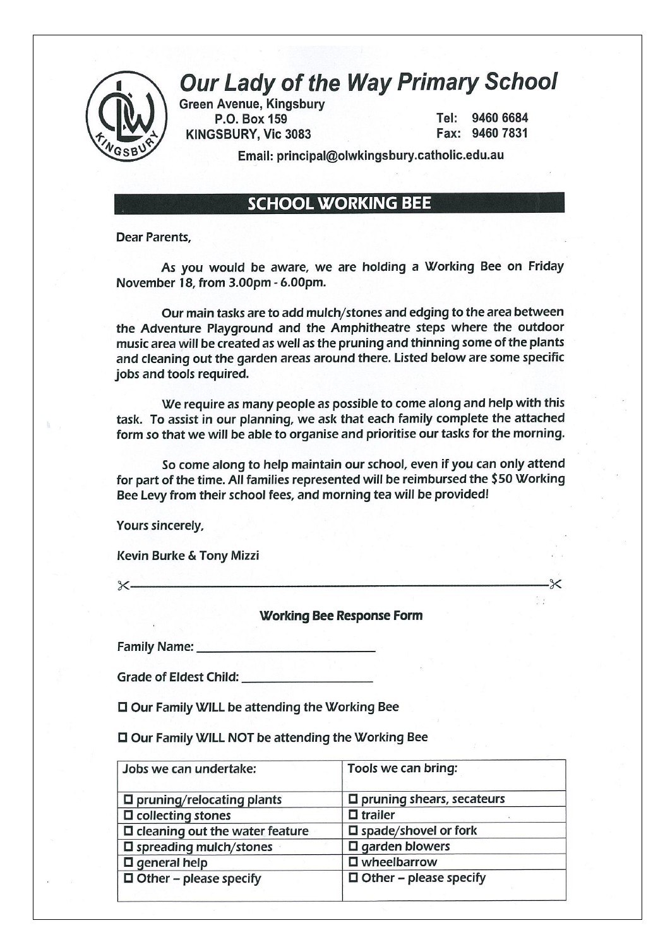

# **Our Lady of the Way Primary School**

**Green Avenue, Kingsbury** P.O. Box 159 KINGSBURY, Vic 3083

Tel: 9460 6684 Fax: 9460 7831

 $\times$ 

Email: principal@olwkingsbury.catholic.edu.au

## **SCHOOL WORKING BEE**

Dear Parents.

As you would be aware, we are holding a Working Bee on Friday November 18, from 3.00pm - 6.00pm.

Our main tasks are to add mulch/stones and edging to the area between the Adventure Playaround and the Amphitheatre steps where the outdoor music area will be created as well as the pruning and thinning some of the plants and cleaning out the garden areas around there. Listed below are some specific jobs and tools required.

We require as many people as possible to come along and help with this task. To assist in our planning, we ask that each family complete the attached form so that we will be able to organise and prioritise our tasks for the morning.

So come along to help maintain our school, even if you can only attend for part of the time. All families represented will be reimbursed the \$50 Working Bee Levy from their school fees, and morning tea will be provided!

Yours sincerely,

Kevin Burke & Tony Mizzi

 $x-$ 

**Working Bee Response Form** 

□ Our Family WILL be attending the Working Bee

□ Our Family WILL NOT be attending the Working Bee

| Jobs we can undertake:                   | Tools we can bring:              |
|------------------------------------------|----------------------------------|
| $\square$ pruning/relocating plants      | $\Box$ pruning shears, secateurs |
| $\Box$ collecting stones                 | $\Box$ trailer                   |
| $\square$ cleaning out the water feature | $\square$ spade/shovel or fork   |
| $\square$ spreading mulch/stones         | $\square$ garden blowers         |
| $\Box$ general help                      | $\square$ wheelbarrow            |
| $\Box$ Other - please specify            | $\Box$ Other – please specify    |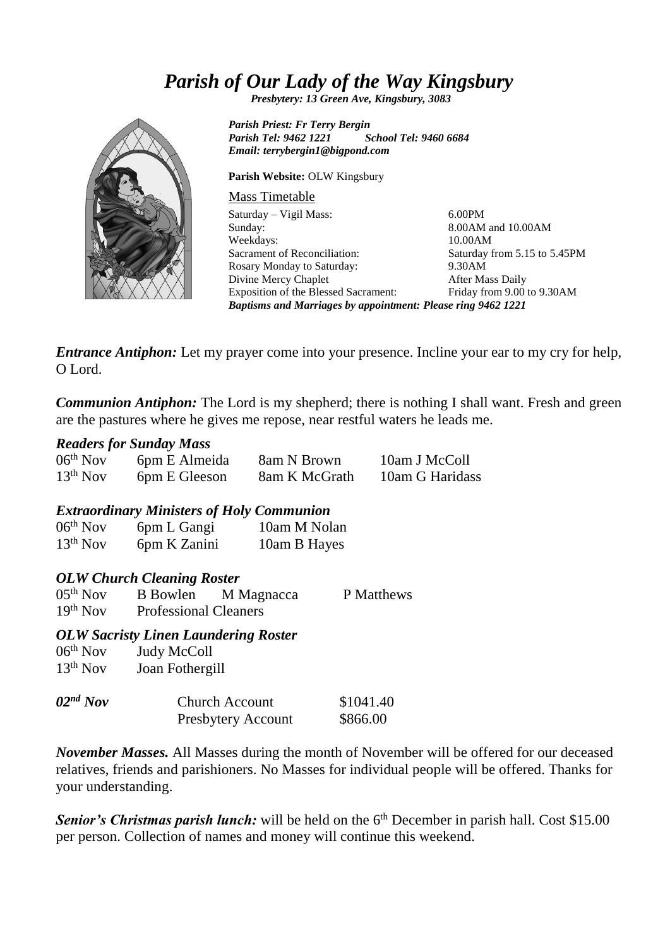## *Parish of Our Lady of the Way Kingsbury*

*Presbytery: 13 Green Ave, Kingsbury, 3083*



*Parish Priest: Fr Terry Bergin Parish Tel: 9462 1221 School Tel: 9460 6684 Email: terrybergin1@bigpond.com*

**Parish Website:** OLW Kingsbury

## Mass Timetable

Saturday – Vigil Mass: Sunday: Weekdays: Sacrament of Reconciliation: Rosary Monday to Saturday: Divine Mercy Chaplet Exposition of the Blessed Sacrament: 6.00PM 8.00AM and 10.00AM 10.00AM Saturday from 5.15 to 5.45PM 9.30AM After Mass Daily Friday from 9.00 to 9.30AM *Baptisms and Marriages by appointment: Please ring 9462 1221*

*Entrance Antiphon:* Let my prayer come into your presence. Incline your ear to my cry for help, O Lord.

*Communion Antiphon:* The Lord is my shepherd; there is nothing I shall want. Fresh and green are the pastures where he gives me repose, near restful waters he leads me.

## *Readers for Sunday Mass*

| $06th$ Nov    | 6pm E Almeida | 8am N Brown   | 10am J McColl   |
|---------------|---------------|---------------|-----------------|
| $13^{th}$ Nov | 6pm E Gleeson | 8am K McGrath | 10am G Haridass |

## *Extraordinary Ministers of Holy Communion*

| $06th$ Nov | 6pm L Gangi  | 10am M Nolan |
|------------|--------------|--------------|
| $13th$ Nov | 6pm K Zanini | 10am B Hayes |

## *OLW Church Cleaning Roster*

| $05th$ Nov | <b>B</b> Bowlen              | M Magnacca | P Matthews |
|------------|------------------------------|------------|------------|
| $19th$ Nov | <b>Professional Cleaners</b> |            |            |

## *OLW Sacristy Linen Laundering Roster*

| $06th$ Nov | Judy McColl                                 |                       |  |
|------------|---------------------------------------------|-----------------------|--|
| $13th$ Nov | Joan Fothergill                             |                       |  |
| $02nd$ Nov | <b>Church Account</b><br>Presbytery Account | \$1041.40<br>\$866.00 |  |

*November Masses.* All Masses during the month of November will be offered for our deceased relatives, friends and parishioners. No Masses for individual people will be offered. Thanks for your understanding.

**Senior's Christmas parish lunch:** will be held on the 6<sup>th</sup> December in parish hall. Cost \$15.00 per person. Collection of names and money will continue this weekend.